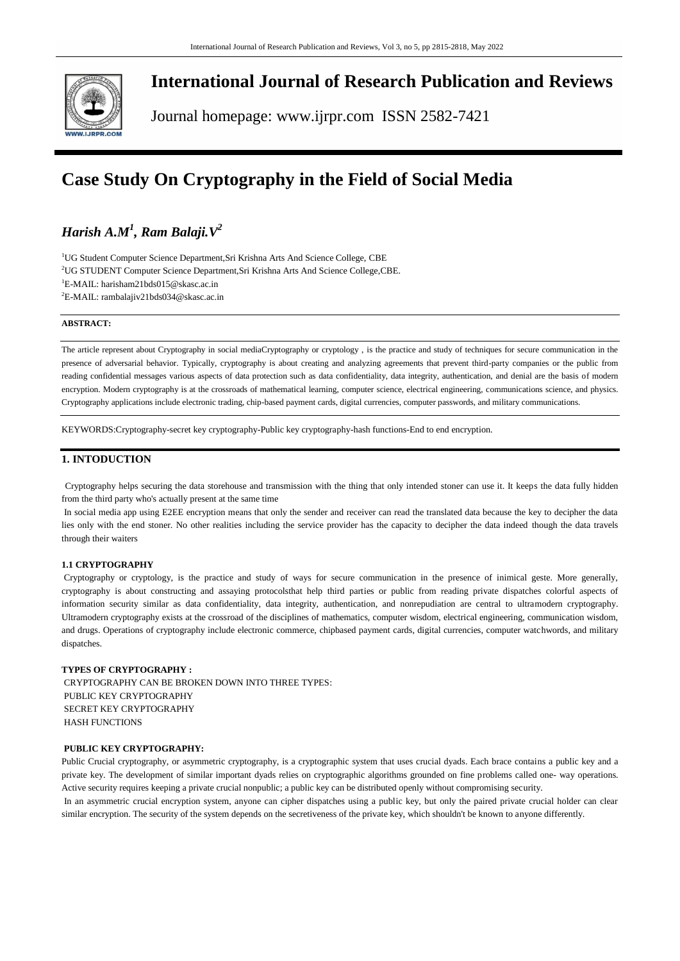

# **International Journal of Research Publication and Reviews**

Journal homepage: www.ijrpr.com ISSN 2582-7421

# **Case Study On Cryptography in the Field of Social Media**

## *Harish A.M<sup>1</sup> , Ram Balaji.V<sup>2</sup>*

<sup>1</sup>UG Student Computer Science Department,Sri Krishna Arts And Science College, CBE <sup>2</sup>UG STUDENT Computer Science Department, Sri Krishna Arts And Science College, CBE.

<sup>1</sup>E-MAIL: harisham21bds015@skasc.ac.in

<sup>2</sup>E-MAIL: rambalajiv21bds034@skasc.ac.in

#### **ABSTRACT:**

The article represent about Cryptography in social mediaCryptography or cryptology , is the practice and study of techniques for secure communication in the presence of adversarial behavior. Typically, cryptography is about creating and analyzing agreements that prevent third-party companies or the public from reading confidential messages various aspects of data protection such as data confidentiality, data integrity, authentication, and denial are the basis of modern encryption. Modern cryptography is at the crossroads of mathematical learning, computer science, electrical engineering, communications science, and physics. Cryptography applications include electronic trading, chip-based payment cards, digital currencies, computer passwords, and military communications.

KEYWORDS:Cryptography-secret key cryptography-Public key cryptography-hash functions-End to end encryption.

#### **1. INTODUCTION**

Cryptography helps securing the data storehouse and transmission with the thing that only intended stoner can use it. It keeps the data fully hidden from the third party who's actually present at the same time

In social media app using E2EE encryption means that only the sender and receiver can read the translated data because the key to decipher the data lies only with the end stoner. No other realities including the service provider has the capacity to decipher the data indeed though the data travels through their waiters

#### **1.1 CRYPTOGRAPHY**

Cryptography or cryptology, is the practice and study of ways for secure communication in the presence of inimical geste. More generally, cryptography is about constructing and assaying protocolsthat help third parties or public from reading private dispatches colorful aspects of information security similar as data confidentiality, data integrity, authentication, and nonrepudiation are central to ultramodern cryptography. Ultramodern cryptography exists at the crossroad of the disciplines of mathematics, computer wisdom, electrical engineering, communication wisdom, and drugs. Operations of cryptography include electronic commerce, chipbased payment cards, digital currencies, computer watchwords, and military dispatches.

#### **TYPES OF CRYPTOGRAPHY :**

CRYPTOGRAPHY CAN BE BROKEN DOWN INTO THREE TYPES: PUBLIC KEY CRYPTOGRAPHY SECRET KEY CRYPTOGRAPHY HASH FUNCTIONS

#### **PUBLIC KEY CRYPTOGRAPHY:**

Public Crucial cryptography, or asymmetric cryptography, is a cryptographic system that uses crucial dyads. Each brace contains a public key and a private key. The development of similar important dyads relies on cryptographic algorithms grounded on fine problems called one- way operations. Active security requires keeping a private crucial nonpublic; a public key can be distributed openly without compromising security.

In an asymmetric crucial encryption system, anyone can cipher dispatches using a public key, but only the paired private crucial holder can clear similar encryption. The security of the system depends on the secretiveness of the private key, which shouldn't be known to anyone differently.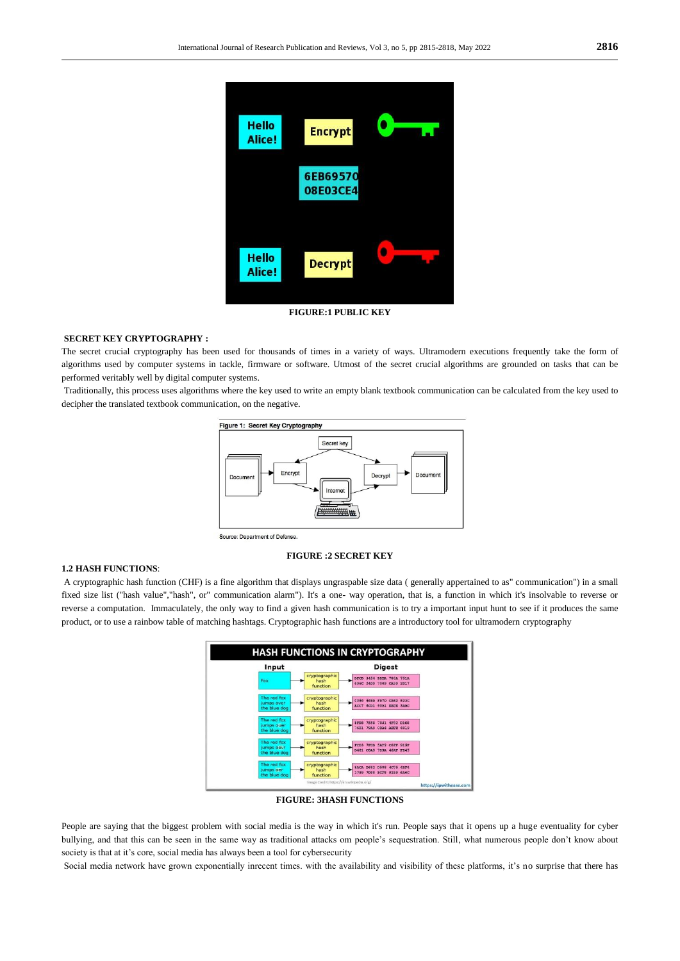

#### **SECRET KEY CRYPTOGRAPHY :** The secret crucial cryptography has been used for thousands of times in a variety of ways. Ultramodern executions frequently take the form of

algorithms used by computer systems in tackle, firmware or software. Utmost of the secret crucial algorithms are grounded on tasks that can be performed veritably well by digital computer systems.

Traditionally, this process uses algorithms where the key used to write an empty blank textbook communication can be calculated from the key used to decipher the translated textbook communication, on the negative.



Source: Department of Defense

#### **FIGURE :2 SECRET KEY**

#### **1.2 HASH FUNCTIONS**:

A cryptographic hash function (CHF) is a fine algorithm that displays ungraspable size data ( generally appertained to as" communication") in a small fixed size list ("hash value","hash", or" communication alarm"). It's a one- way operation, that is, a function in which it's insolvable to reverse or reverse a computation. Immaculately, the only way to find a given hash communication is to try a important input hunt to see if it produces the same product, or to use a rainbow table of matching hashtags. Cryptographic hash functions are a introductory tool for ultramodern cryptography



**FIGURE: 3HASH FUNCTIONS**

People are saying that the biggest problem with social media is the way in which it's run. People says that it opens up a huge eventuality for cyber bullying, and that this can be seen in the same way as traditional attacks om people's sequestration. Still, what numerous people don't know about society is that at it's core, social media has always been a tool for cybersecurity

Social media network have grown exponentially inrecent times, with the availability and visibility of these platforms, it's no surprise that there has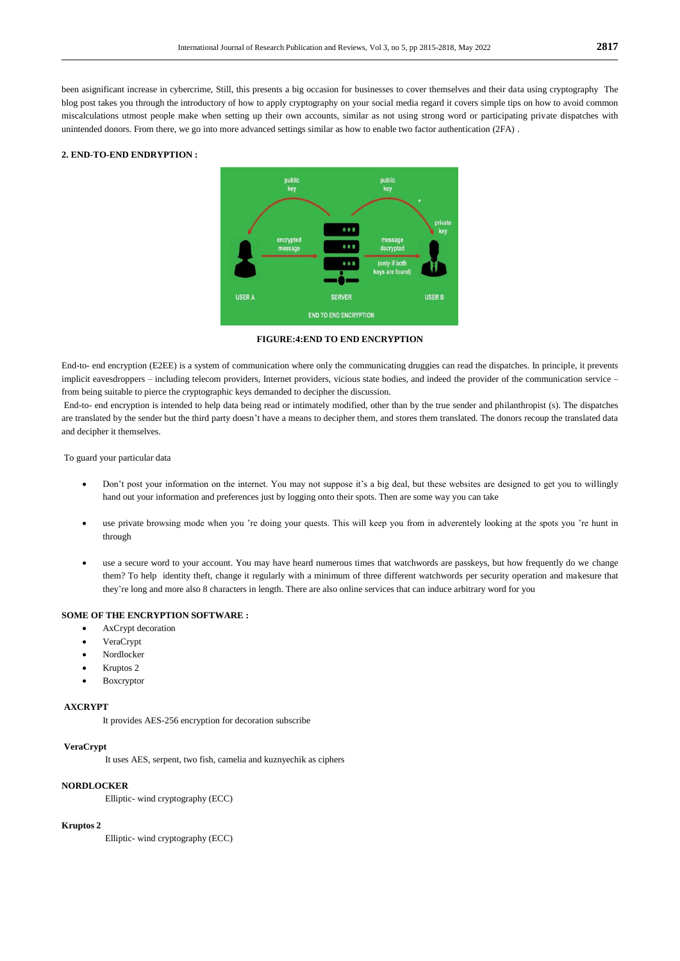been asignificant increase in cybercrime, Still, this presents a big occasion for businesses to cover themselves and their data using cryptography The blog post takes you through the introductory of how to apply cryptography on your social media regard it covers simple tips on how to avoid common miscalculations utmost people make when setting up their own accounts, similar as not using strong word or participating private dispatches with unintended donors. From there, we go into more advanced settings similar as how to enable two factor authentication (2FA) .

#### **2. END-TO-END ENDRYPTION :**



**FIGURE:4:END TO END ENCRYPTION**

End-to- end encryption (E2EE) is a system of communication where only the communicating druggies can read the dispatches. In principle, it prevents implicit eavesdroppers – including telecom providers, Internet providers, vicious state bodies, and indeed the provider of the communication service – from being suitable to pierce the cryptographic keys demanded to decipher the discussion.

End-to- end encryption is intended to help data being read or intimately modified, other than by the true sender and philanthropist (s). The dispatches are translated by the sender but the third party doesn't have a means to decipher them, and stores them translated. The donors recoup the translated data and decipher it themselves.

To guard your particular data

- Don't post your information on the internet. You may not suppose it's a big deal, but these websites are designed to get you to willingly hand out your information and preferences just by logging onto their spots. Then are some way you can take
- use private browsing mode when you 're doing your quests. This will keep you from in adverentely looking at the spots you 're hunt in through
- use a secure word to your account. You may have heard numerous times that watchwords are passkeys, but how frequently do we change them? To help identity theft, change it regularly with a minimum of three different watchwords per security operation and makesure that they're long and more also 8 characters in length. There are also online services that can induce arbitrary word for you

#### **SOME OF THE ENCRYPTION SOFTWARE :**

- AxCrypt decoration
- VeraCrypt
- Nordlocker
- Kruptos 2
- Boxcryptor

#### **AXCRYPT**

It provides AES-256 encryption for decoration subscribe

#### **VeraCrypt**

It uses AES, serpent, two fish, camelia and kuznyechik as ciphers

#### **NORDLOCKER**

Elliptic- wind cryptography (ECC)

#### **Kruptos 2**

Elliptic- wind cryptography (ECC)